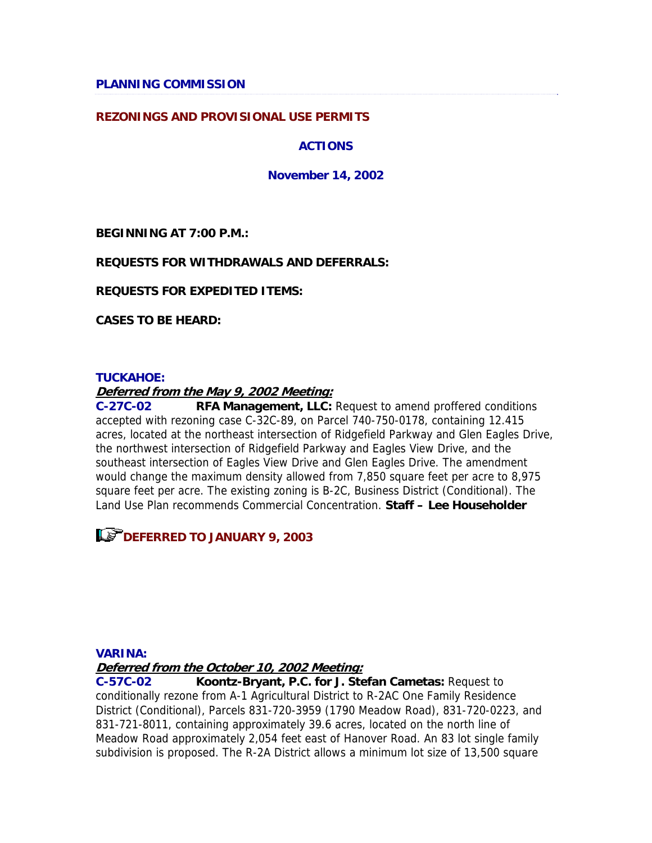**PLANNING COMMISSION** 

### **REZONINGS AND PROVISIONAL USE PERMITS**

### **ACTIONS**

### **November 14, 2002**

**BEGINNING AT 7:00 P.M.:** 

### **REQUESTS FOR WITHDRAWALS AND DEFERRALS:**

**REQUESTS FOR EXPEDITED ITEMS:** 

**CASES TO BE HEARD:** 

### **TUCKAHOE:**

### **Deferred from the May 9, 2002 Meeting:**

**C-27C-02 RFA Management, LLC:** Request to amend proffered conditions accepted with rezoning case C-32C-89, on Parcel 740-750-0178, containing 12.415 acres, located at the northeast intersection of Ridgefield Parkway and Glen Eagles Drive, the northwest intersection of Ridgefield Parkway and Eagles View Drive, and the southeast intersection of Eagles View Drive and Glen Eagles Drive. The amendment would change the maximum density allowed from 7,850 square feet per acre to 8,975 square feet per acre. The existing zoning is B-2C, Business District (Conditional). The Land Use Plan recommends Commercial Concentration. **Staff – Lee Householder**

**LET DEFERRED TO JANUARY 9, 2003** 

#### **VARINA:**

**Deferred from the October 10, 2002 Meeting:**

**C-57C-02 Koontz-Bryant, P.C. for J. Stefan Cametas:** Request to conditionally rezone from A-1 Agricultural District to R-2AC One Family Residence District (Conditional), Parcels 831-720-3959 (1790 Meadow Road), 831-720-0223, and 831-721-8011, containing approximately 39.6 acres, located on the north line of Meadow Road approximately 2,054 feet east of Hanover Road. An 83 lot single family subdivision is proposed. The R-2A District allows a minimum lot size of 13,500 square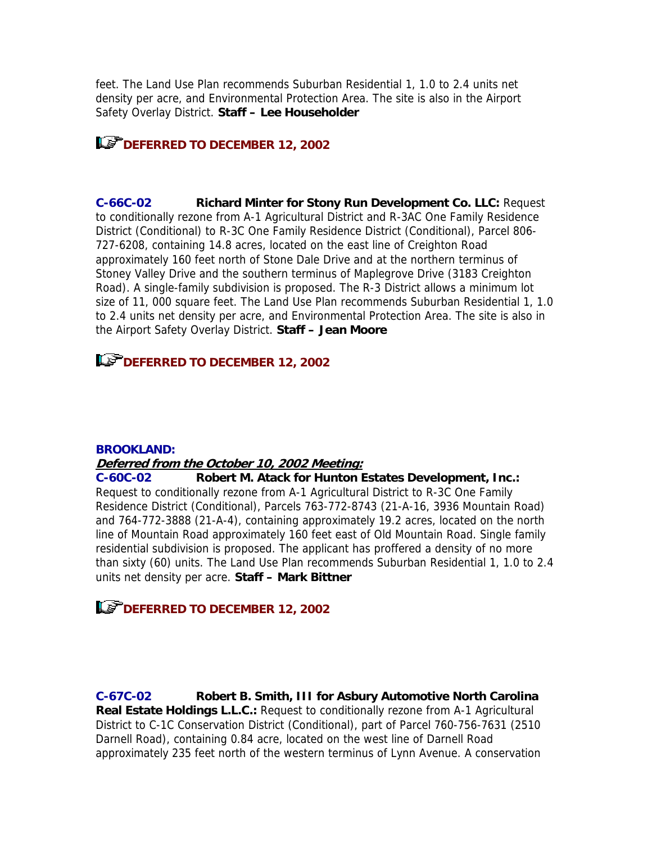feet. The Land Use Plan recommends Suburban Residential 1, 1.0 to 2.4 units net density per acre, and Environmental Protection Area. The site is also in the Airport Safety Overlay District. **Staff – Lee Householder**

**LET DEFERRED TO DECEMBER 12, 2002** 

**C-66C-02 Richard Minter for Stony Run Development Co. LLC:** Request to conditionally rezone from A-1 Agricultural District and R-3AC One Family Residence District (Conditional) to R-3C One Family Residence District (Conditional), Parcel 806- 727-6208, containing 14.8 acres, located on the east line of Creighton Road approximately 160 feet north of Stone Dale Drive and at the northern terminus of Stoney Valley Drive and the southern terminus of Maplegrove Drive (3183 Creighton Road). A single-family subdivision is proposed. The R-3 District allows a minimum lot size of 11, 000 square feet. The Land Use Plan recommends Suburban Residential 1, 1.0 to 2.4 units net density per acre, and Environmental Protection Area. The site is also in the Airport Safety Overlay District. **Staff – Jean Moore**

### **LET DEFERRED TO DECEMBER 12, 2002**

#### **BROOKLAND:**

#### **Deferred from the October 10, 2002 Meeting:**

**C-60C-02 Robert M. Atack for Hunton Estates Development, Inc.:** Request to conditionally rezone from A-1 Agricultural District to R-3C One Family Residence District (Conditional), Parcels 763-772-8743 (21-A-16, 3936 Mountain Road) and 764-772-3888 (21-A-4), containing approximately 19.2 acres, located on the north line of Mountain Road approximately 160 feet east of Old Mountain Road. Single family residential subdivision is proposed. The applicant has proffered a density of no more than sixty (60) units. The Land Use Plan recommends Suburban Residential 1, 1.0 to 2.4 units net density per acre. **Staff – Mark Bittner**

## **LET DEFERRED TO DECEMBER 12, 2002**

**C-67C-02 Robert B. Smith, III for Asbury Automotive North Carolina Real Estate Holdings L.L.C.:** Request to conditionally rezone from A-1 Agricultural District to C-1C Conservation District (Conditional), part of Parcel 760-756-7631 (2510 Darnell Road), containing 0.84 acre, located on the west line of Darnell Road approximately 235 feet north of the western terminus of Lynn Avenue. A conservation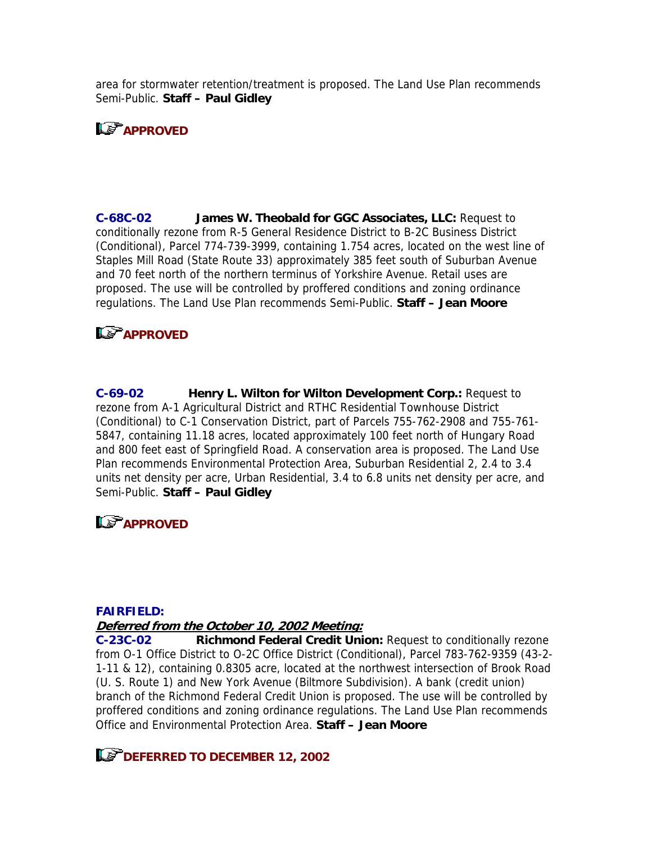area for stormwater retention/treatment is proposed. The Land Use Plan recommends Semi-Public. **Staff – Paul Gidley**

# **APPROVED**

**C-68C-02 James W. Theobald for GGC Associates, LLC:** Request to conditionally rezone from R-5 General Residence District to B-2C Business District (Conditional), Parcel 774-739-3999, containing 1.754 acres, located on the west line of Staples Mill Road (State Route 33) approximately 385 feet south of Suburban Avenue and 70 feet north of the northern terminus of Yorkshire Avenue. Retail uses are proposed. The use will be controlled by proffered conditions and zoning ordinance regulations. The Land Use Plan recommends Semi-Public. **Staff – Jean Moore**

## **APPROVED**

**C-69-02 Henry L. Wilton for Wilton Development Corp.:** Request to rezone from A-1 Agricultural District and RTHC Residential Townhouse District (Conditional) to C-1 Conservation District, part of Parcels 755-762-2908 and 755-761- 5847, containing 11.18 acres, located approximately 100 feet north of Hungary Road and 800 feet east of Springfield Road. A conservation area is proposed. The Land Use Plan recommends Environmental Protection Area, Suburban Residential 2, 2.4 to 3.4 units net density per acre, Urban Residential, 3.4 to 6.8 units net density per acre, and Semi-Public. **Staff – Paul Gidley**

## **Le<sup>P</sup>APPROVED**

#### **FAIRFIELD:**

### **Deferred from the October 10, 2002 Meeting:**

**C-23C-02 Richmond Federal Credit Union:** Request to conditionally rezone from O-1 Office District to O-2C Office District (Conditional), Parcel 783-762-9359 (43-2- 1-11 & 12), containing 0.8305 acre, located at the northwest intersection of Brook Road (U. S. Route 1) and New York Avenue (Biltmore Subdivision). A bank (credit union) branch of the Richmond Federal Credit Union is proposed. The use will be controlled by proffered conditions and zoning ordinance regulations. The Land Use Plan recommends Office and Environmental Protection Area. **Staff – Jean Moore**

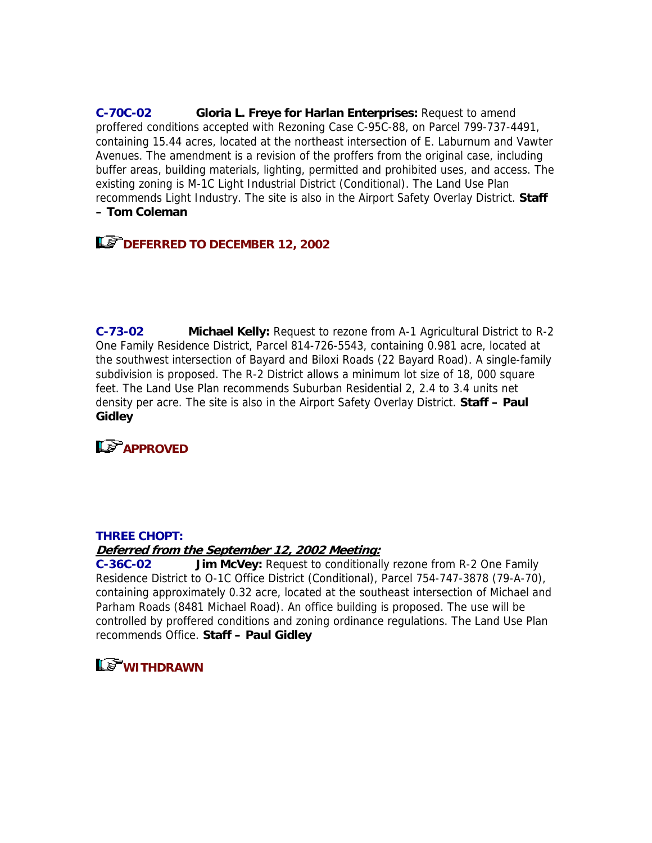**C-70C-02 Gloria L. Freye for Harlan Enterprises:** Request to amend proffered conditions accepted with Rezoning Case C-95C-88, on Parcel 799-737-4491, containing 15.44 acres, located at the northeast intersection of E. Laburnum and Vawter Avenues. The amendment is a revision of the proffers from the original case, including buffer areas, building materials, lighting, permitted and prohibited uses, and access. The existing zoning is M-1C Light Industrial District (Conditional). The Land Use Plan recommends Light Industry. The site is also in the Airport Safety Overlay District. **Staff – Tom Coleman**

# **LET DEFERRED TO DECEMBER 12, 2002**

**C-73-02 Michael Kelly:** Request to rezone from A-1 Agricultural District to R-2 One Family Residence District, Parcel 814-726-5543, containing 0.981 acre, located at the southwest intersection of Bayard and Biloxi Roads (22 Bayard Road). A single-family subdivision is proposed. The R-2 District allows a minimum lot size of 18, 000 square feet. The Land Use Plan recommends Suburban Residential 2, 2.4 to 3.4 units net density per acre. The site is also in the Airport Safety Overlay District. **Staff – Paul Gidley**

**APPROVED** 

### **THREE CHOPT:**

### **Deferred from the September 12, 2002 Meeting:**

**C-36C-02 Jim McVey:** Request to conditionally rezone from R-2 One Family Residence District to O-1C Office District (Conditional), Parcel 754-747-3878 (79-A-70), containing approximately 0.32 acre, located at the southeast intersection of Michael and Parham Roads (8481 Michael Road). An office building is proposed. The use will be controlled by proffered conditions and zoning ordinance regulations. The Land Use Plan recommends Office. **Staff – Paul Gidley**

# **LS** WITHDRAWN